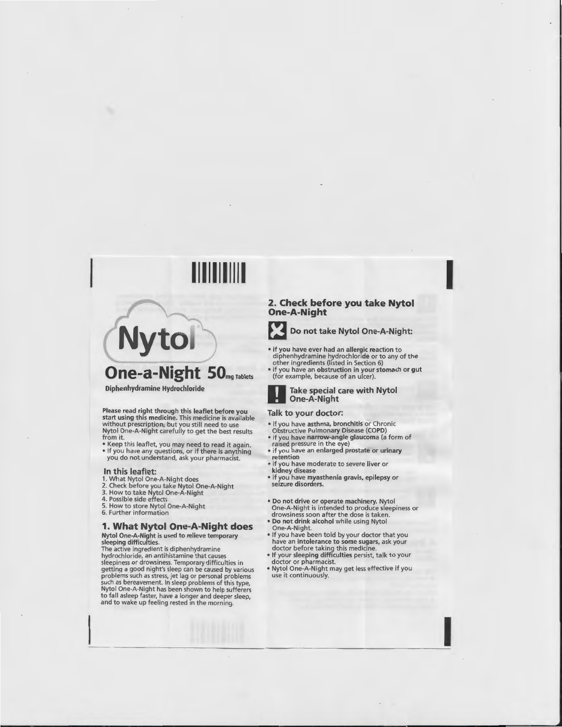# **Nytol**

**One-a-Night** SOmgTablets

Diphenhydramine Hydrochloride

Please read right through this leaflet before you start using this medicine. This medicine is available without prescription, but you still need to use Nytol One-A-Night carefully to get the best results from it.

- Keep this leaflet, you may need to read it again.
- If you have any questions, or if there is anything you do not understand, ask your pharmacist.

#### In this leaflet:

- 1. What Nytol One-A-Night does
- 2. Check before you take Nytol One-A-Night<br>3. How to take Nytol One-A-Night<br>4. Possible side effects
- 
- 
- 5. How to store Nytol One-A-Night
- 6. Further information

# **1. What Nytol One-A-Night does**

Nytol One-A-Night is used to relieve temporary sleeping difficulties.

The active ingred ient is diphenhydramine hydrochloride, an antihistamine that causes sleepiness or drowsiness. Temporary difficulties in getting a good night 's sleep can be caused by various problems such as stress, jet lag or personal problems such as bereavement. In sleep problems of this type, Nytol One-A-Night has been shown to help sufferers to fall asleep faster, have a longer and deeper sleep, and to wake up feeling rested in the morning.

# **2. Check before you take Nytol One-A-Night**



**Example 2 Do not take Nytol One-A-Night:** 

- if you have ever had an allergic reaction to diphenhydramine hydrochloride or to any of the other ingredients (listed in Section 6)
- if you have an obstruction in your stomach or gut (for example, because of an ulcer).

#### Take special care with Nytol One-A-Night

## Talk to your doctor:

- if you have asthma, bronchitis or Chron ic Obstructive Pulmonary Disease (COPD)
- if you have narrow-angle glaucoma (a form of raised pressure in the eye)
- if you have an enlarged prostate or urinary retention
- if you have moderate to severe liver or kidney disease
- if you have myasthenia gravis, epilepsy or seizure disorders.
- Do not drive or operate machinery. Nytol One-A-Night is intended to produce sleepiness or drowsiness soon after the dose is taken.
- Do not drink alcohol while using Nytol One-A-Night.
- If you have been told by your doctor that you have an intolerance to some sugars, ask your doctor before taking this medicine.
- If your sleeping difficulties persist, talk to your doctor or pharmacist.
- Nytol One-A-Night may get less effective if you use it continuously.